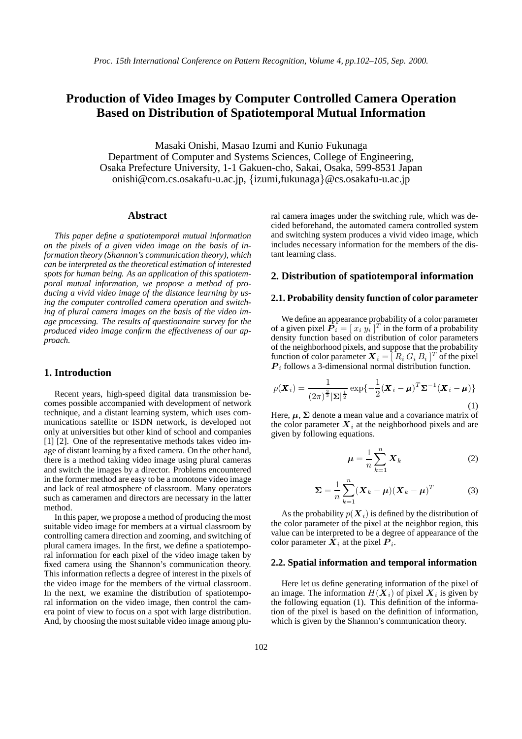# **Production of Video Images by Computer Controlled Camera Operation Based on Distribution of Spatiotemporal Mutual Information**

Masaki Onishi, Masao Izumi and Kunio Fukunaga Department of Computer and Systems Sciences, College of Engineering, Osaka Prefecture University, 1-1 Gakuen-cho, Sakai, Osaka, 599-8531 Japan onishi@com.cs.osakafu-u.ac.jp, *{*izumi,fukunaga*}*@cs.osakafu-u.ac.jp

#### **Abstract**

*This paper define a spatiotemporal mutual information on the pixels of a given video image on the basis of information theory (Shannon's communication theory), which can be interpreted as the theoretical estimation of interested spots for human being. As an application of this spatiotemporal mutual information, we propose a method of producing a vivid video image of the distance learning by using the computer controlled camera operation and switching of plural camera images on the basis of the video image processing. The results of questionnaire survey for the produced video image confirm the effectiveness of our approach.*

## **1. Introduction**

Recent years, high-speed digital data transmission becomes possible accompanied with development of network technique, and a distant learning system, which uses communications satellite or ISDN network, is developed not only at universities but other kind of school and companies [1] [2]. One of the representative methods takes video image of distant learning by a fixed camera. On the other hand, there is a method taking video image using plural cameras and switch the images by a director. Problems encountered in the former method are easy to be a monotone video image and lack of real atmosphere of classroom. Many operators such as cameramen and directors are necessary in the latter method.

In this paper, we propose a method of producing the most suitable video image for members at a virtual classroom by controlling camera direction and zooming, and switching of plural camera images. In the first, we define a spatiotemporal information for each pixel of the video image taken by fixed camera using the Shannon's communication theory. This information reflects a degree of interest in the pixels of the video image for the members of the virtual classroom. In the next, we examine the distribution of spatiotemporal information on the video image, then control the camera point of view to focus on a spot with large distribution. And, by choosing the most suitable video image among plural camera images under the switching rule, which was decided beforehand, the automated camera controlled system and switching system produces a vivid video image, which includes necessary information for the members of the distant learning class.

## **2. Distribution of spatiotemporal information**

#### **2.1. Probability density function of color parameter**

We define an appearance probability of a color parameter of a given pixel  $P_i = [x_i y_i]^T$  in the form of a probability<br>density function based on distribution of color parameters density function based on distribution of color parameters of the neighborhood pixels, and suppose that the probability function of color parameter  $X_i = [R_i G_i B_i]^T$  of the pixel<br>**P**<sub>i</sub> follows a 3 dimensional pormal distribution function *<sup>P</sup> i* follows a 3-dimensional normal distribution function.

$$
p(\boldsymbol{X}_i) = \frac{1}{(2\pi)^{\frac{3}{2}}|\boldsymbol{\Sigma}|^{\frac{1}{2}}} \exp\{-\frac{1}{2}(\boldsymbol{X}_i - \boldsymbol{\mu})^T \boldsymbol{\Sigma}^{-1}(\boldsymbol{X}_i - \boldsymbol{\mu})\}
$$
(1)

Here,  $\mu$ ,  $\Sigma$  denote a mean value and a covariance matrix of the color parameter  $X_i$  at the neighborhood pixels and are given by following equations.

$$
\mu = \frac{1}{n} \sum_{k=1}^{n} \boldsymbol{X}_k
$$
 (2)

$$
\Sigma = \frac{1}{n} \sum_{k=1}^{n} (X_k - \mu)(X_k - \mu)^T
$$
 (3)

As the probability  $p(X_i)$  is defined by the distribution of the color parameter of the pixel at the neighbor region, this value can be interpreted to be a degree of appearance of the color parameter  $X_i$  at the pixel  $P_i$ .

#### **2.2. Spatial information and temporal information**

Here let us define generating information of the pixel of an image. The information  $H(X_i)$  of pixel  $X_i$  is given by the following equation (1). This definition of the information of the pixel is based on the definition of information, which is given by the Shannon's communication theory.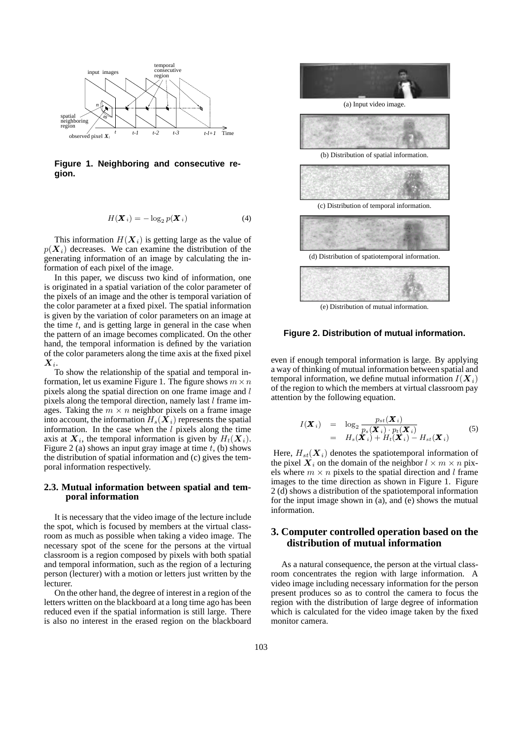

**Figure 1. Neighboring and consecutive region.**

$$
H(\boldsymbol{X}_i) = -\log_2 p(\boldsymbol{X}_i)
$$
 (4)

This information  $H(X_i)$  is getting large as the value of  $p(X_i)$  decreases. We can examine the distribution of the generating information of an image by calculating the information of each pixel of the image.

In this paper, we discuss two kind of information, one is originated in a spatial variation of the color parameter of the pixels of an image and the other is temporal variation of the color parameter at a fixed pixel. The spatial information is given by the variation of color parameters on an image at the time  $t$ , and is getting large in general in the case when the pattern of an image becomes complicated. On the other hand, the temporal information is defined by the variation of the color parameters along the time axis at the fixed pixel *Xi*.

To show the relationship of the spatial and temporal information, let us examine Figure 1. The figure shows  $m \times n$ pixels along the spatial direction on one frame image and l pixels along the temporal direction, namely last l frame images. Taking the  $m \times n$  neighbor pixels on a frame image into account, the information  $H_s(\bar{X}_i)$  represents the spatial information. In the case when the  $l$  pixels along the time axis at  $X_i$ , the temporal information is given by  $H_t(X_i)$ . Figure 2 (a) shows an input gray image at time  $t$ , (b) shows the distribution of spatial information and (c) gives the temporal information respectively.

#### **2.3. Mutual information between spatial and temporal information**

It is necessary that the video image of the lecture include the spot, which is focused by members at the virtual classroom as much as possible when taking a video image. The necessary spot of the scene for the persons at the virtual classroom is a region composed by pixels with both spatial and temporal information, such as the region of a lecturing person (lecturer) with a motion or letters just written by the lecturer.

On the other hand, the degree of interest in a region of the letters written on the blackboard at a long time ago has been reduced even if the spatial information is still large. There is also no interest in the erased region on the blackboard



(a) Input video image.



(b) Distribution of spatial information.



(e) Distribution of mutual information.

#### **Figure 2. Distribution of mutual information.**

even if enough temporal information is large. By applying a way of thinking of mutual information between spatial and temporal information, we define mutual information  $I(X_i)$ of the region to which the members at virtual classroom pay attention by the following equation.

$$
I(\boldsymbol{X}_{i}) = \log_{2} \frac{p_{st}(\boldsymbol{X}_{i})}{p_{s}(\boldsymbol{X}_{i}) \cdot p_{t}(\boldsymbol{X}_{i})}
$$
  
=  $H_{s}(\boldsymbol{X}_{i}) + H_{t}(\boldsymbol{X}_{i}) - H_{st}(\boldsymbol{X}_{i})$  (5)

Here,  $H_{st}(\boldsymbol{X}_i)$  denotes the spatiotemporal information of the pixel  $X_i$  on the domain of the neighbor  $l \times m \times n$  pixels where  $m \times n$  pixels to the spatial direction and l frame images to the time direction as shown in Figure 1. Figure 2 (d) shows a distribution of the spatiotemporal information for the input image shown in (a), and (e) shows the mutual information.

# **3. Computer controlled operation based on the distribution of mutual information**

As a natural consequence, the person at the virtual classroom concentrates the region with large information. A video image including necessary information for the person present produces so as to control the camera to focus the region with the distribution of large degree of information which is calculated for the video image taken by the fixed monitor camera.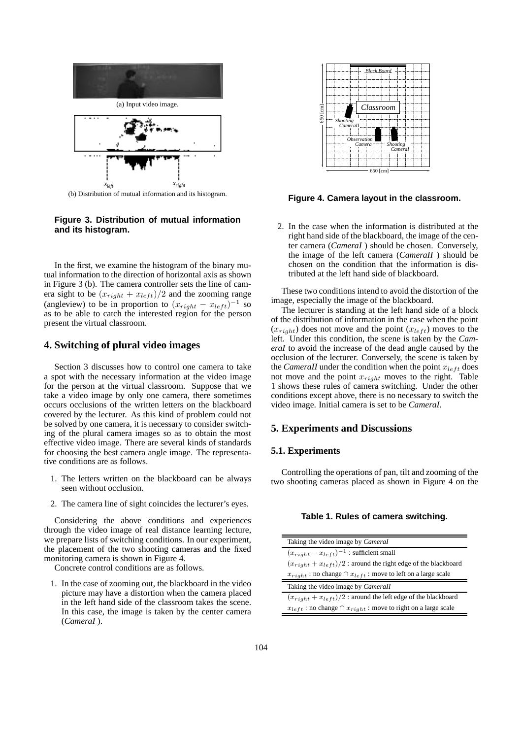

**Figure 3. Distribution of mutual information and its histogram.**

In the first, we examine the histogram of the binary mutual information to the direction of horizontal axis as shown in Figure 3 (b). The camera controller sets the line of camera sight to be  $(x_{right} + x_{left})/2$  and the zooming range (angleview) to be in proportion to  $(x_{right} - x_{left})^{-1}$  so as to be able to catch the interested region for the person present the virtual classroom.

# **4. Switching of plural video images**

Section 3 discusses how to control one camera to take a spot with the necessary information at the video image for the person at the virtual classroom. Suppose that we take a video image by only one camera, there sometimes occurs occlusions of the written letters on the blackboard covered by the lecturer. As this kind of problem could not be solved by one camera, it is necessary to consider switching of the plural camera images so as to obtain the most effective video image. There are several kinds of standards for choosing the best camera angle image. The representative conditions are as follows.

- 1. The letters written on the blackboard can be always seen without occlusion.
- 2. The camera line of sight coincides the lecturer's eyes.

Considering the above conditions and experiences through the video image of real distance learning lecture, we prepare lists of switching conditions. In our experiment, the placement of the two shooting cameras and the fixed monitoring camera is shown in Figure 4.

Concrete control conditions are as follows.

1. In the case of zooming out, the blackboard in the video picture may have a distortion when the camera placed in the left hand side of the classroom takes the scene. In this case, the image is taken by the center camera (*CameraI* ).



**Figure 4. Camera layout in the classroom.**

2. In the case when the information is distributed at the right hand side of the blackboard, the image of the center camera (*CameraI* ) should be chosen. Conversely, the image of the left camera (*CameraII* ) should be chosen on the condition that the information is distributed at the left hand side of blackboard.

These two conditions intend to avoid the distortion of the image, especially the image of the blackboard.

The lecturer is standing at the left hand side of a block of the distribution of information in the case when the point  $(x_{right})$  does not move and the point  $(x_{left})$  moves to the left. Under this condition, the scene is taken by the *CameraI* to avoid the increase of the dead angle caused by the occlusion of the lecturer. Conversely, the scene is taken by the *CameraII* under the condition when the point  $x_{left}$  does not move and the point <sup>x</sup>*right* moves to the right. Table 1 shows these rules of camera switching. Under the other conditions except above, there is no necessary to switch the video image. Initial camera is set to be *CameraI*.

### **5. Experiments and Discussions**

## **5.1. Experiments**

Controlling the operations of pan, tilt and zooming of the two shooting cameras placed as shown in Figure 4 on the

#### **Table 1. Rules of camera switching.**

| Taking the video image by Cameral                                        |
|--------------------------------------------------------------------------|
| $(x_{right} - x_{left})^{-1}$ : sufficient small                         |
| $(x_{right} + x_{left})/2$ : around the right edge of the blackboard     |
| $x_{right}$ : no change $\cap x_{left}$ : move to left on a large scale  |
| Taking the video image by Camerall                                       |
| $(x_{right} + x_{left})/2$ : around the left edge of the blackboard      |
| $x_{left}$ : no change $\cap x_{right}$ : move to right on a large scale |